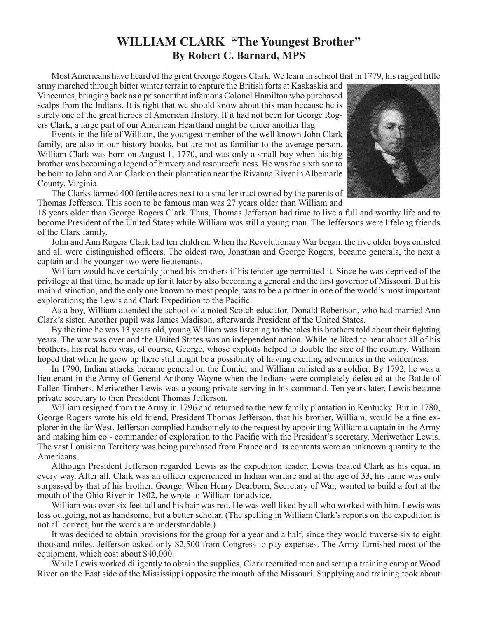## **WILLIAM CLARK "The Youngest Brother" By Robert C. Barnard, MPS**

 MostAmericans have heard of the great George Rogers Clark. We learn in school that in 1779, hisragged little

army marched through bitter winter terrain to capture the British forts at Kaskaskia and Vincennes, bringing back as a prisoner that infamous Colonel Hamilton who purchased scalps from the Indians. It is right that we should know about this man because he is surely one of the great heroes of American History. If it had not been for George Rogers Clark, a large part of our American Heartland might be under another flag.

 Events in the life of William, the youngest member of the well known John Clark family, are also in our history books, but are not as familiar to the average person. William Clark was born on August 1, 1770, and was only a small boy when his big brother was becoming a legend of bravery and resourcefulness. He wasthe sixth son to be born to John and Ann Clark on their plantation near the Rivanna River in Albemarle County, Virginia.



18 years older than George Rogers Clark. Thus, Thomas Jefferson had time to live a full and worthy life and to become President of the United States while William was still a young man. The Jeffersons were lifelong friends of the Clark family.

John and Ann Rogers Clark had ten children. When the Revolutionary War began, the five older boys enlisted and all were distinguished officers. The oldest two, Jonathan and George Rogers, became generals, the next a captain and the younger two were lieutenants.

 William would have certainly joined his brothers if his tender age permitted it. Since he was deprived of the privilege at that time, he made up for it later by also becoming a general and the first governor of Missouri. But his main distinction, and the only one known to most people, was to be a partner in one of the world's most important explorations; the Lewis and Clark Expedition to the Pacific.

 As a boy, William attended the school of a noted Scotch educator, Donald Robertson, who had married Ann Clark's sister. Another pupil was James Madison, afterwards President of the United States.

By the time he was 13 years old, young William was listening to the tales his brothers told about their fighting years. The war was over and the United States was an independent nation. While he liked to hear about all of his brothers, his real hero was, of course, George, whose exploits helped to double the size of the country. William hoped that when he grew up there still might be a possibility of having exciting adventures in the wilderness.

 In 1790, Indian attacks became general on the frontier and William enlisted as a soldier. By 1792, he was a lieutenant in the Army of General Anthony Wayne when the Indians were completely defeated at the Battle of Fallen Timbers. Meriwether Lewis was a young private serving in his command. Ten years later, Lewis became private secretary to then President Thomas Jefferson.

 William resigned from the Army in 1796 and returned to the new family plantation in Kentucky. But in 1780, George Rogers wrote his old friend, President Thomas Jefferson, that his brother, William, would be a fine explorer in the far West. Jefferson complied handsomely to the request by appointing William a captain in the Army and making him co - commander of exploration to the Pacific with the President's secretary, Meriwether Lewis. The vast Louisiana Territory was being purchased from France and its contents were an unknown quantity to the Americans.

 Although President Jefferson regarded Lewis as the expedition leader, Lewis treated Clark as his equal in every way. After all, Clark was an officer experienced in Indian warfare and at the age of 33, his fame was only surpassed by that of his brother, George. When Henry Dearborn, Secretary of War, wanted to build a fort at the mouth of the Ohio River in 1802, he wrote to William for advice.

 William was over six feet tall and his hair was red. He was well liked by all who worked with him. Lewis was less outgoing, not as handsome, but a better scholar. (The spelling in William Clark's reports on the expedition is not all correct, but the words are understandable.)

 It was decided to obtain provisions for the group for a year and a half, since they would traverse six to eight thousand miles. Jefferson asked only \$2,500 from Congress to pay expenses. The Army furnished most of the equipment, which cost about \$40,000.

 While Lewis worked diligently to obtain the supplies, Clark recruited men and set up a training camp at Wood River on the East side of the Mississippi opposite the mouth of the Missouri. Supplying and training took about